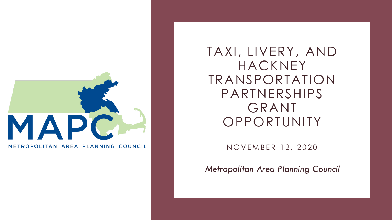

METROPOLITAN AREA PLANNING COUNCIL

TAXI, LIVERY, AND HACKNEY TRANSPORTATION PARTNERSHIPS GRANT **OPPORTUNITY** 

NOVEMBER 12, 2020

*Metropolitan Area Planning Council*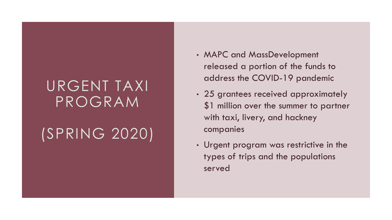## URGENT TAXI PROGRAM

# (SPRING 2020)

- MAPC and MassDevelopment released a portion of the funds to address the COVID-19 pandemic
- 25 grantees received approximately \$1 million over the summer to partner with taxi, livery, and hackney companies
- Urgent program was restrictive in the types of trips and the populations served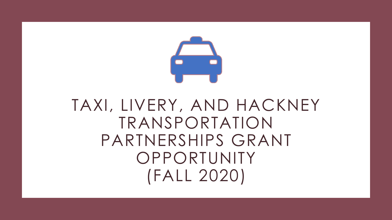

# TAXI, LIVERY, AND HACKNEY TRANSPORTATION PARTNERSHIPS GRANT **OPPORTUNITY** (FALL 2020)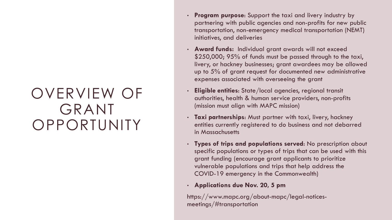## OVERVIEW OF GRANT **OPPORTUNITY**

- **Program purpose**: Support the taxi and livery industry by partnering with public agencies and non-profits for new public transportation, non-emergency medical transportation (NEMT) initiatives, and deliveries
- **Award funds:** Individual grant awards will not exceed \$250,000; 95% of funds must be passed through to the taxi, livery, or hackney businesses; grant awardees may be allowed up to 5% of grant request for documented new administrative expenses associated with overseeing the grant
- **Eligible entities**: State/local agencies, regional transit authorities, health & human service providers, non-profits (mission must align with MAPC mission)
- **Taxi partnerships**: Must partner with taxi, livery, hackney entities currently registered to do business and not debarred in Massachusetts
- **Types of trips and populations served**: No prescription about specific populations or types of trips that can be used with this grant funding (encourage grant applicants to prioritize vulnerable populations and trips that help address the COVID-19 emergency in the Commonwealth)
- **Applications due Nov. 20, 5 pm**

https://www.mapc.org/about-mapc/legal-noticesmeetings/#transportation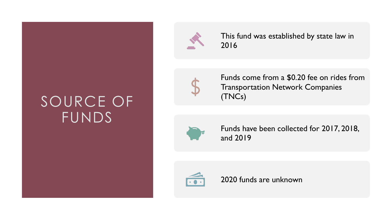## SOURCE OF FUNDS



This fund was established by state law in 2016



Funds come from a \$0.20 fee on rides from Transportation Network Companies (TNCs)



Funds have been collected for 2017, 2018, and 2019



2020 funds are unknown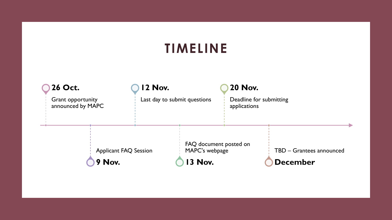### **TIMELINE**

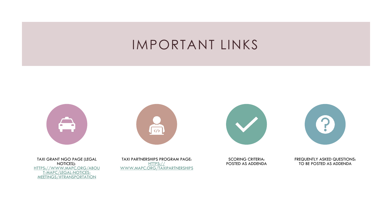#### IMPORTANT LINKS









TAXI GRANT NGO PAGE (LEGAL NOTICES): [HTTPS://WWW.MAPC.ORG/ABOU](https://www.mapc.org/about-mapc/legal-notices-meetings/#transportation) T-MAPC/LEGAL-NOTICES-MEETINGS/#TRANSPORTATION

TAXI PARTNERSHIPS PROGRAM PAGE: HTTPS:// [WWW.MAPC.ORG/TAXIPARTNERSHIPS](https://www.mapc.org/taxipartnerships)

SCORING CRITERIA: POSTED AS ADDENDA FREQUENTLY ASKED QUESTIONS: TO BE POSTED AS ADDENDA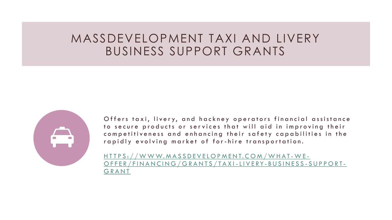#### MASSDEVELOPMENT TAXI AND LIVERY BUSINESS SUPPORT GRANTS



Offers taxi, livery, and hackney operators financial assistance to secure products or services that will aid in improving their competitiveness and enhancing their safety capabilities in the rapidly evolving market of for-hire transportation.

H T T P S : / / W W W . M A S S D E V E L O P M E N T . C O M / W H A T - W E -O F F E R / F I N A N C I N G / G R A N T S / T A X I - L I V E R Y - B U S I N E S S - S U P P O R T -**GRANT**